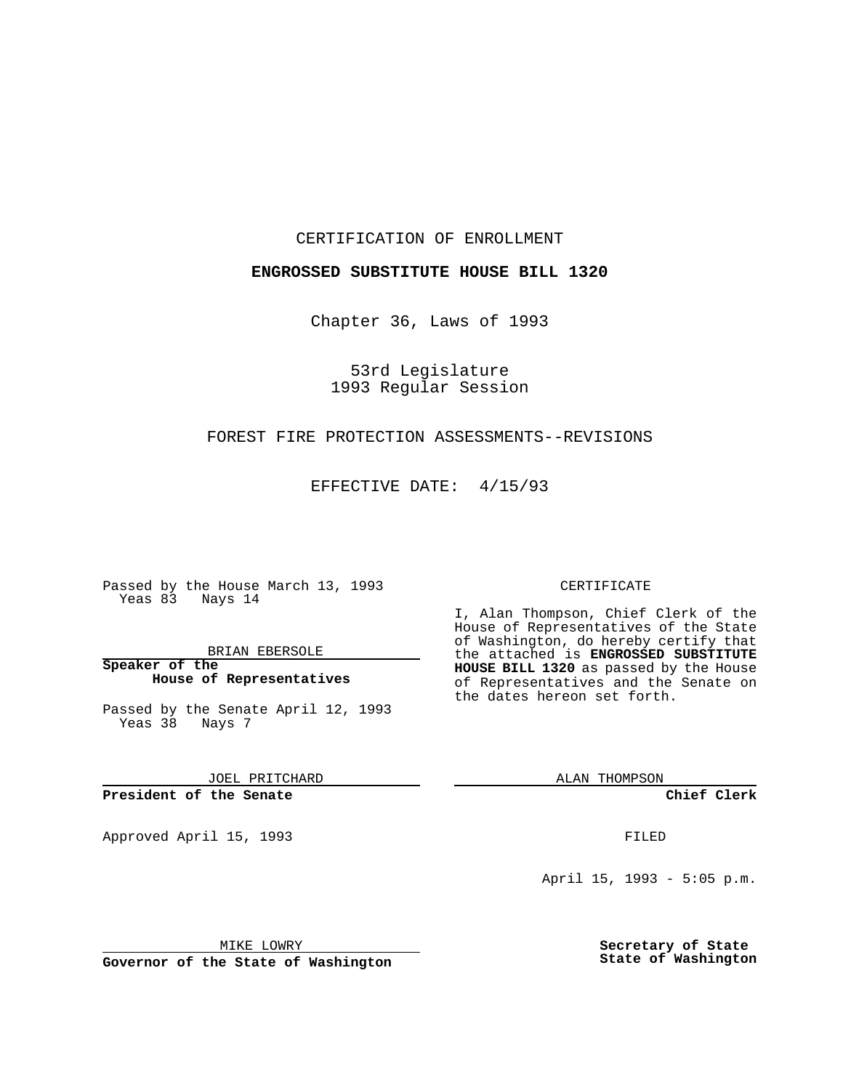CERTIFICATION OF ENROLLMENT

### **ENGROSSED SUBSTITUTE HOUSE BILL 1320**

Chapter 36, Laws of 1993

53rd Legislature 1993 Regular Session

### FOREST FIRE PROTECTION ASSESSMENTS--REVISIONS

EFFECTIVE DATE: 4/15/93

Passed by the House March 13, 1993 Yeas 83 Nays 14

BRIAN EBERSOLE

**Speaker of the House of Representatives**

Passed by the Senate April 12, 1993 Yeas 38 Nays 7

JOEL PRITCHARD

**President of the Senate**

Approved April 15, 1993 **FILED** 

#### CERTIFICATE

I, Alan Thompson, Chief Clerk of the House of Representatives of the State of Washington, do hereby certify that the attached is **ENGROSSED SUBSTITUTE HOUSE BILL 1320** as passed by the House of Representatives and the Senate on the dates hereon set forth.

ALAN THOMPSON

**Chief Clerk**

April 15, 1993 - 5:05 p.m.

MIKE LOWRY

**Governor of the State of Washington**

**Secretary of State State of Washington**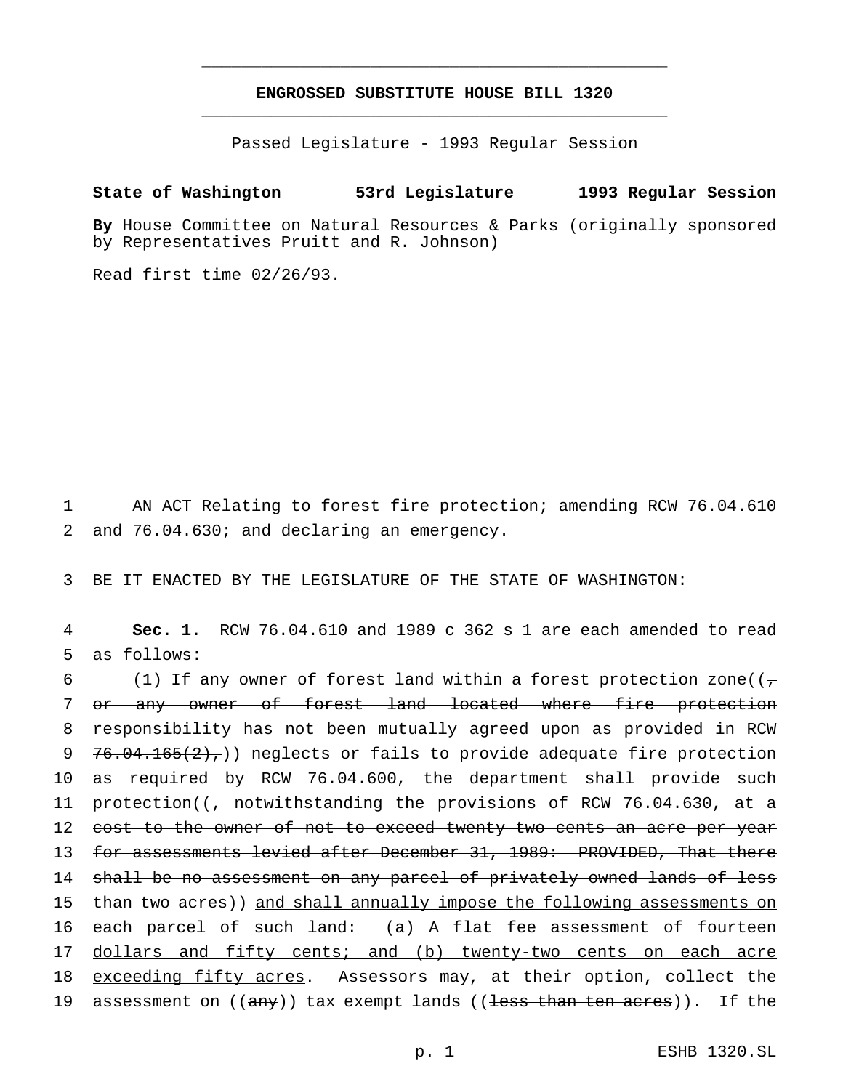# **ENGROSSED SUBSTITUTE HOUSE BILL 1320** \_\_\_\_\_\_\_\_\_\_\_\_\_\_\_\_\_\_\_\_\_\_\_\_\_\_\_\_\_\_\_\_\_\_\_\_\_\_\_\_\_\_\_\_\_\_\_

\_\_\_\_\_\_\_\_\_\_\_\_\_\_\_\_\_\_\_\_\_\_\_\_\_\_\_\_\_\_\_\_\_\_\_\_\_\_\_\_\_\_\_\_\_\_\_

Passed Legislature - 1993 Regular Session

## **State of Washington 53rd Legislature 1993 Regular Session**

**By** House Committee on Natural Resources & Parks (originally sponsored by Representatives Pruitt and R. Johnson)

Read first time 02/26/93.

1 AN ACT Relating to forest fire protection; amending RCW 76.04.610 2 and 76.04.630; and declaring an emergency.

3 BE IT ENACTED BY THE LEGISLATURE OF THE STATE OF WASHINGTON:

4 **Sec. 1.** RCW 76.04.610 and 1989 c 362 s 1 are each amended to read 5 as follows:

6 (1) If any owner of forest land within a forest protection zone( $(\tau$ 7 or any owner of forest land located where fire protection 8 responsibility has not been mutually agreed upon as provided in RCW 9 76.04.165 $(2)$ , neglects or fails to provide adequate fire protection 10 as required by RCW 76.04.600, the department shall provide such 11 protection((<del>, notwithstanding the provisions of RCW 76.04.630, at a</del> 12 cost to the owner of not to exceed twenty-two cents an acre per year 13 for assessments levied after December 31, 1989: PROVIDED, That there 14 shall be no assessment on any parcel of privately owned lands of less 15 than two acres)) and shall annually impose the following assessments on 16 each parcel of such land: (a) A flat fee assessment of fourteen 17 dollars and fifty cents; and (b) twenty-two cents on each acre 18 exceeding fifty acres. Assessors may, at their option, collect the 19 assessment on ((any)) tax exempt lands ((<del>less than ten acres</del>)). If the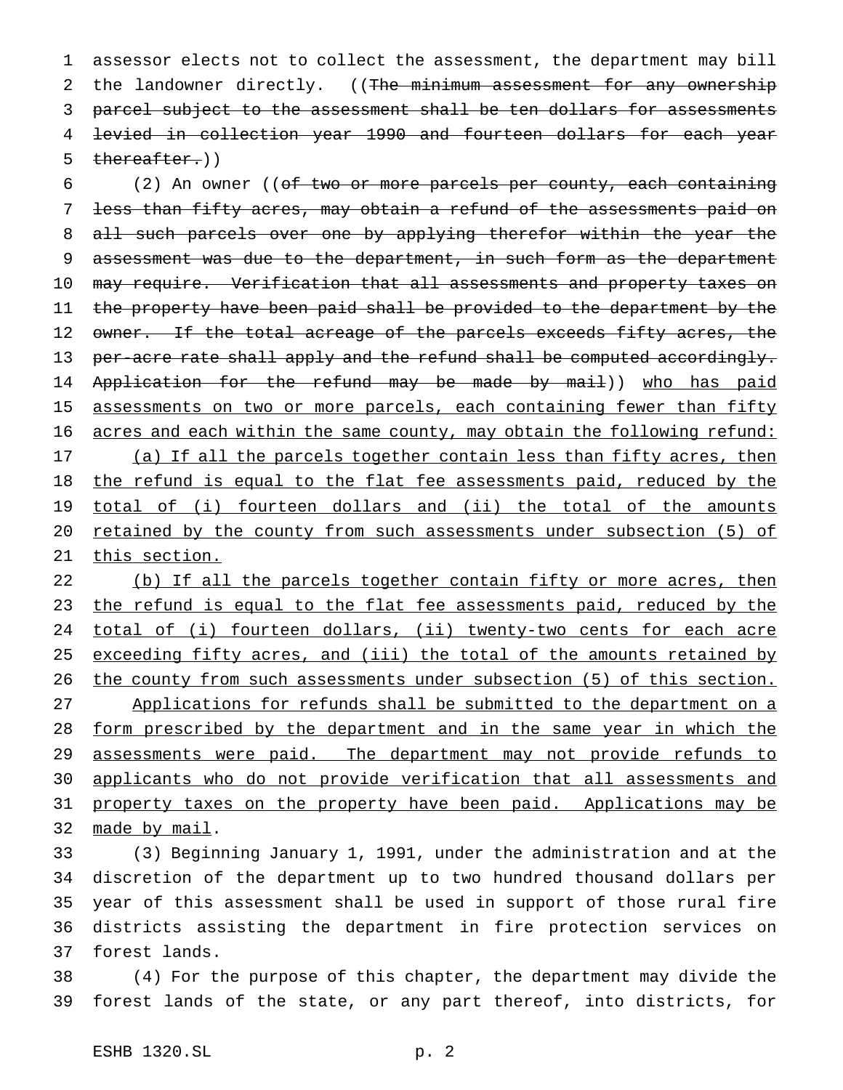1 assessor elects not to collect the assessment, the department may bill 2 the landowner directly. ((The minimum assessment for any ownership 3 parcel subject to the assessment shall be ten dollars for assessments 4 levied in collection year 1990 and fourteen dollars for each year 5 thereafter.))

6 (2) An owner ((of two or more parcels per county, each containing 7 less than fifty acres, may obtain a refund of the assessments paid on 8 all such parcels over one by applying therefor within the year the 9 assessment was due to the department, in such form as the department 10 may require. Verification that all assessments and property taxes on 11 the property have been paid shall be provided to the department by the 12 owner. If the total acreage of the parcels exceeds fifty acres, the 13 per-acre rate shall apply and the refund shall be computed accordingly. 14 Application for the refund may be made by mail)) who has paid 15 assessments on two or more parcels, each containing fewer than fifty 16 acres and each within the same county, may obtain the following refund: 17 (a) If all the parcels together contain less than fifty acres, then 18 the refund is equal to the flat fee assessments paid, reduced by the 19 total of (i) fourteen dollars and (ii) the total of the amounts 20 retained by the county from such assessments under subsection (5) of 21 this section.

22 (b) If all the parcels together contain fifty or more acres, then 23 the refund is equal to the flat fee assessments paid, reduced by the 24 total of (i) fourteen dollars, (ii) twenty-two cents for each acre 25 exceeding fifty acres, and (iii) the total of the amounts retained by 26 the county from such assessments under subsection (5) of this section. 27 Applications for refunds shall be submitted to the department on a 28 form prescribed by the department and in the same year in which the 29 assessments were paid. The department may not provide refunds to 30 applicants who do not provide verification that all assessments and 31 property taxes on the property have been paid. Applications may be 32 made by mail.

 (3) Beginning January 1, 1991, under the administration and at the discretion of the department up to two hundred thousand dollars per year of this assessment shall be used in support of those rural fire districts assisting the department in fire protection services on forest lands.

38 (4) For the purpose of this chapter, the department may divide the 39 forest lands of the state, or any part thereof, into districts, for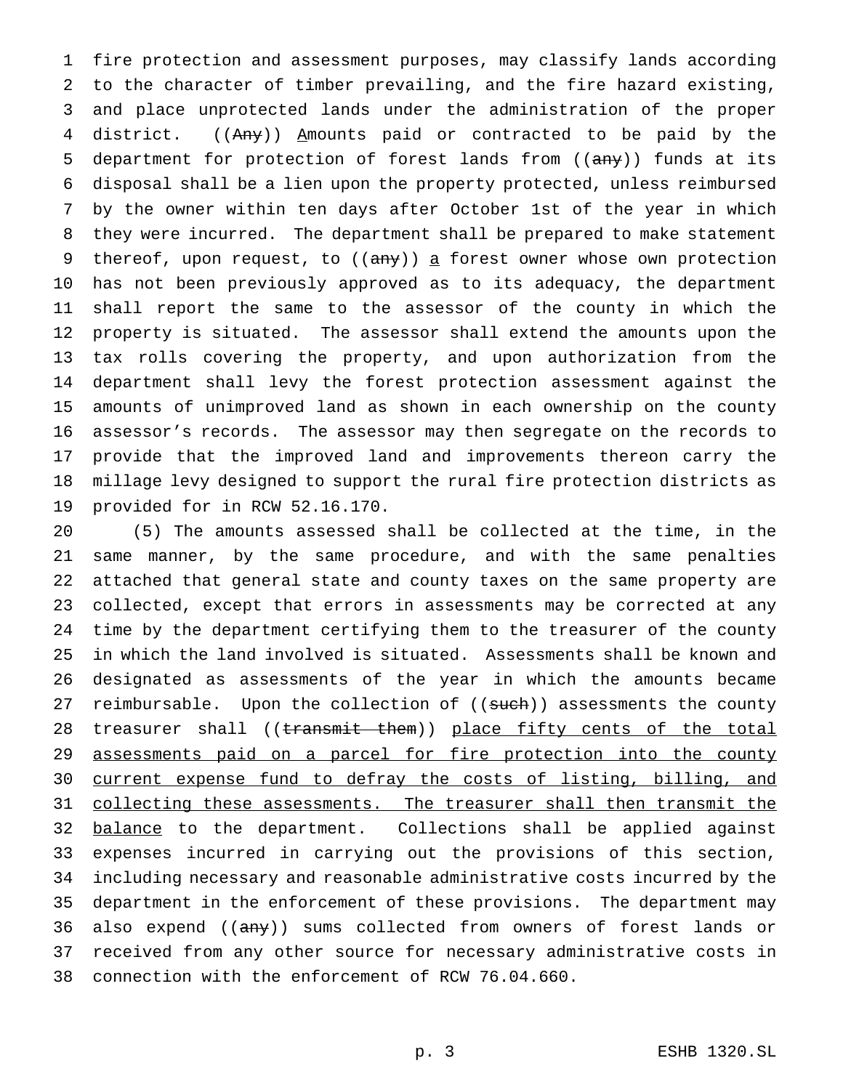fire protection and assessment purposes, may classify lands according to the character of timber prevailing, and the fire hazard existing, and place unprotected lands under the administration of the proper 4 district. ((Any)) Amounts paid or contracted to be paid by the 5 department for protection of forest lands from ((any)) funds at its disposal shall be a lien upon the property protected, unless reimbursed by the owner within ten days after October 1st of the year in which they were incurred. The department shall be prepared to make statement 9 thereof, upon request, to  $((any))$  a forest owner whose own protection has not been previously approved as to its adequacy, the department shall report the same to the assessor of the county in which the property is situated. The assessor shall extend the amounts upon the tax rolls covering the property, and upon authorization from the department shall levy the forest protection assessment against the amounts of unimproved land as shown in each ownership on the county assessor's records. The assessor may then segregate on the records to provide that the improved land and improvements thereon carry the millage levy designed to support the rural fire protection districts as provided for in RCW 52.16.170.

 (5) The amounts assessed shall be collected at the time, in the same manner, by the same procedure, and with the same penalties attached that general state and county taxes on the same property are collected, except that errors in assessments may be corrected at any time by the department certifying them to the treasurer of the county in which the land involved is situated. Assessments shall be known and designated as assessments of the year in which the amounts became 27 reimbursable. Upon the collection of ((such)) assessments the county 28 treasurer shall ((transmit them)) place fifty cents of the total assessments paid on a parcel for fire protection into the county 30 current expense fund to defray the costs of listing, billing, and 31 collecting these assessments. The treasurer shall then transmit the 32 balance to the department. Collections shall be applied against expenses incurred in carrying out the provisions of this section, including necessary and reasonable administrative costs incurred by the department in the enforcement of these provisions. The department may 36 also expend ((any)) sums collected from owners of forest lands or received from any other source for necessary administrative costs in connection with the enforcement of RCW 76.04.660.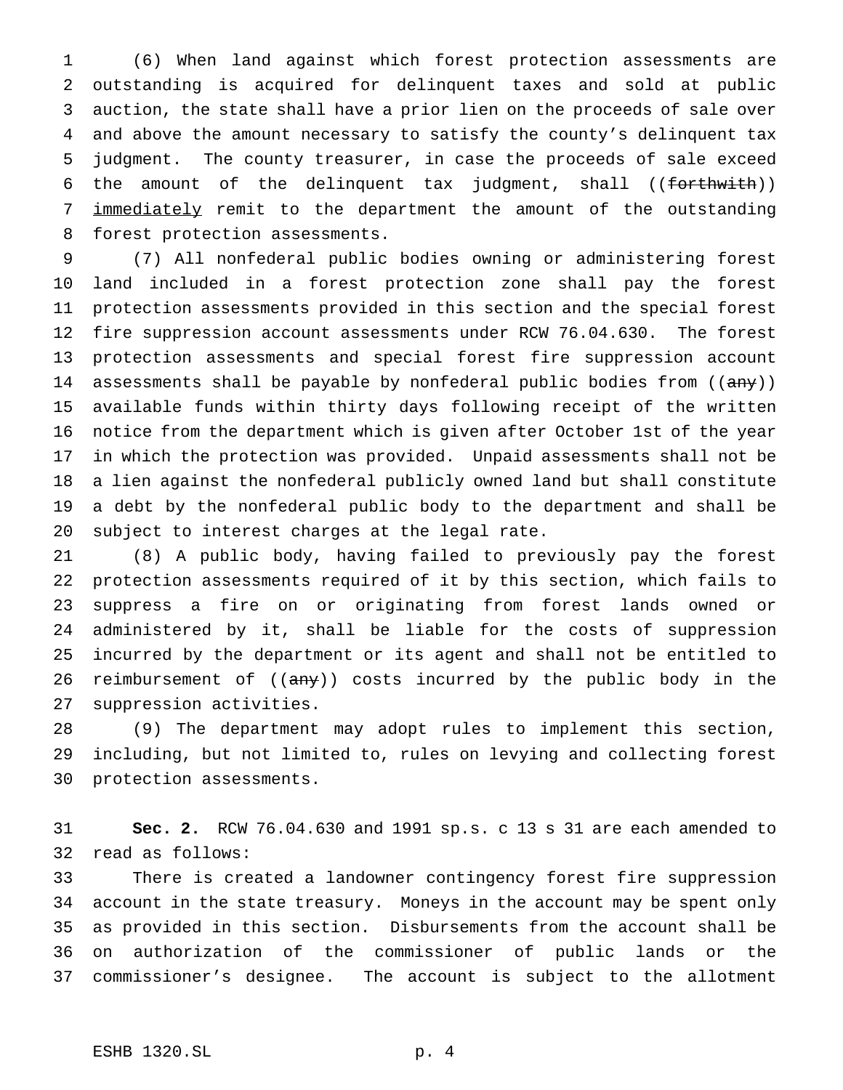(6) When land against which forest protection assessments are outstanding is acquired for delinquent taxes and sold at public auction, the state shall have a prior lien on the proceeds of sale over and above the amount necessary to satisfy the county's delinquent tax judgment. The county treasurer, in case the proceeds of sale exceed the amount of the delinquent tax judgment, shall ((forthwith)) 7 immediately remit to the department the amount of the outstanding forest protection assessments.

 (7) All nonfederal public bodies owning or administering forest land included in a forest protection zone shall pay the forest protection assessments provided in this section and the special forest fire suppression account assessments under RCW 76.04.630. The forest protection assessments and special forest fire suppression account 14 assessments shall be payable by nonfederal public bodies from ((any)) available funds within thirty days following receipt of the written notice from the department which is given after October 1st of the year in which the protection was provided. Unpaid assessments shall not be a lien against the nonfederal publicly owned land but shall constitute a debt by the nonfederal public body to the department and shall be subject to interest charges at the legal rate.

 (8) A public body, having failed to previously pay the forest protection assessments required of it by this section, which fails to suppress a fire on or originating from forest lands owned or administered by it, shall be liable for the costs of suppression incurred by the department or its agent and shall not be entitled to 26 reimbursement of  $((any))$  costs incurred by the public body in the suppression activities.

 (9) The department may adopt rules to implement this section, including, but not limited to, rules on levying and collecting forest protection assessments.

 **Sec. 2.** RCW 76.04.630 and 1991 sp.s. c 13 s 31 are each amended to read as follows:

 There is created a landowner contingency forest fire suppression account in the state treasury. Moneys in the account may be spent only as provided in this section. Disbursements from the account shall be on authorization of the commissioner of public lands or the commissioner's designee. The account is subject to the allotment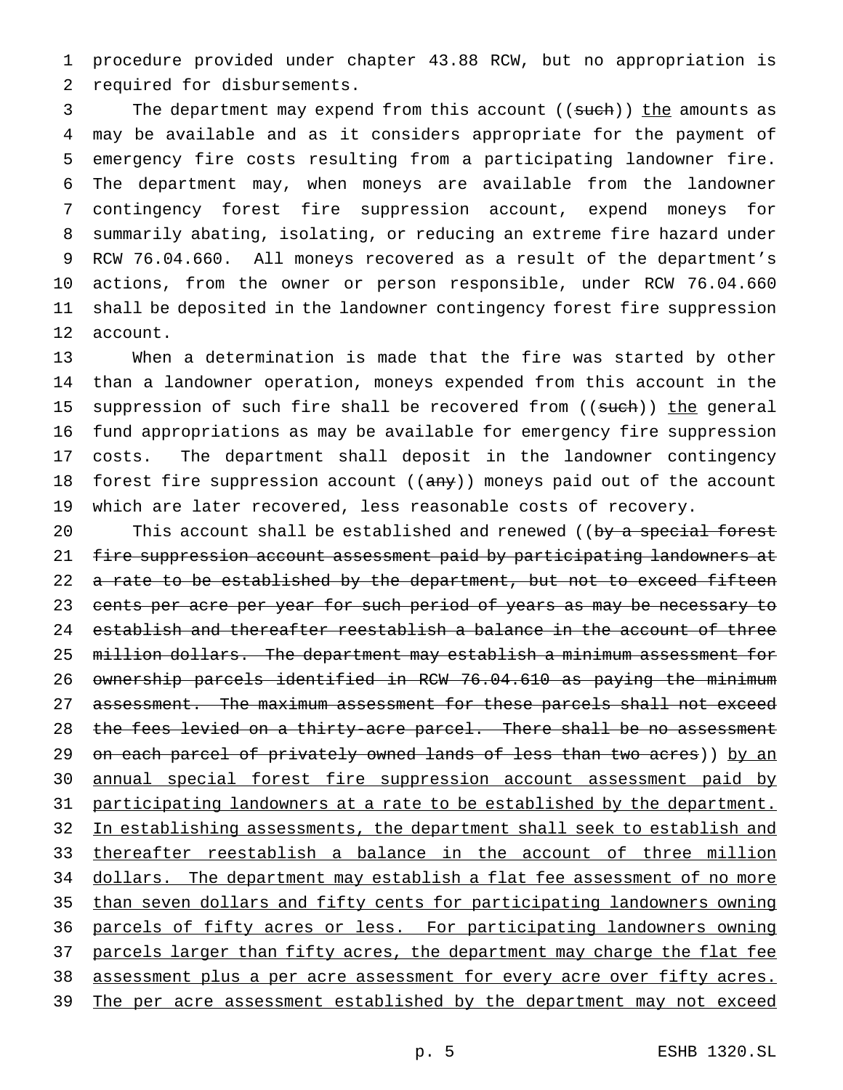1 procedure provided under chapter 43.88 RCW, but no appropriation is 2 required for disbursements.

3 The department may expend from this account ((such)) the amounts as may be available and as it considers appropriate for the payment of emergency fire costs resulting from a participating landowner fire. The department may, when moneys are available from the landowner contingency forest fire suppression account, expend moneys for summarily abating, isolating, or reducing an extreme fire hazard under RCW 76.04.660. All moneys recovered as a result of the department's actions, from the owner or person responsible, under RCW 76.04.660 shall be deposited in the landowner contingency forest fire suppression 12 account.

 When a determination is made that the fire was started by other than a landowner operation, moneys expended from this account in the 15 suppression of such fire shall be recovered from ((such)) the general fund appropriations as may be available for emergency fire suppression costs. The department shall deposit in the landowner contingency 18 forest fire suppression account  $((a \nrightarrow y))$  moneys paid out of the account which are later recovered, less reasonable costs of recovery.

20 This account shall be established and renewed ((by a special forest 21 fire suppression account assessment paid by participating landowners at 22 a rate to be established by the department, but not to exceed fifteen 23 cents per acre per year for such period of years as may be necessary to 24 establish and thereafter reestablish a balance in the account of three 25 million dollars. The department may establish a minimum assessment for 26 ownership parcels identified in RCW 76.04.610 as paying the minimum 27 assessment. The maximum assessment for these parcels shall not exceed 28 the fees levied on a thirty-acre parcel. There shall be no assessment 29 on each parcel of privately owned lands of less than two acres)) by an 30 annual special forest fire suppression account assessment paid by 31 participating landowners at a rate to be established by the department. 32 In establishing assessments, the department shall seek to establish and 33 thereafter reestablish a balance in the account of three million 34 dollars. The department may establish a flat fee assessment of no more 35 than seven dollars and fifty cents for participating landowners owning 36 parcels of fifty acres or less. For participating landowners owning 37 parcels larger than fifty acres, the department may charge the flat fee 38 assessment plus a per acre assessment for every acre over fifty acres. 39 The per acre assessment established by the department may not exceed